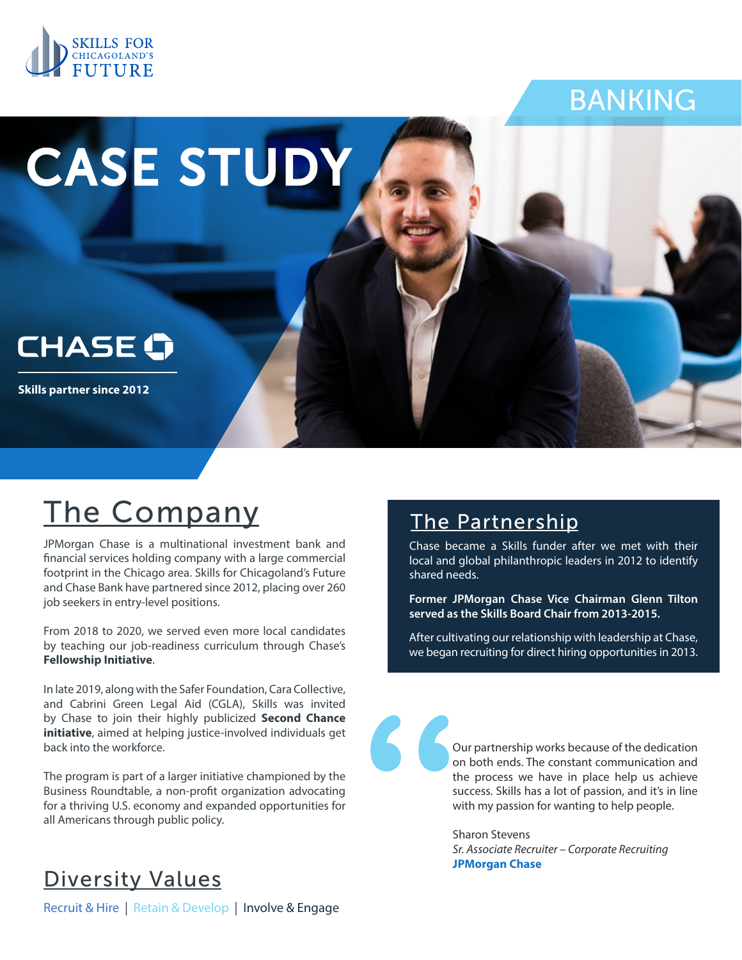

## BANKING

# CASE STUDY



**Skills partner since 2012**

## The Company

JPMorgan Chase is a multinational investment bank and financial services holding company with a large commercial footprint in the Chicago area. Skills for Chicagoland's Future and Chase Bank have partnered since 2012, placing over 260 job seekers in entry-level positions.

From 2018 to 2020, we served even more local candidates by teaching our job-readiness curriculum through Chase's **Fellowship Initiative**.

In late 2019, along with the Safer Foundation, Cara Collective, and Cabrini Green Legal Aid (CGLA), Skills was invited by Chase to join their highly publicized **Second Chance initiative**, aimed at helping justice-involved individuals get back into the workforce.

The program is part of a larger initiative championed by the Business Roundtable, a non-profit organization advocating for a thriving U.S. economy and expanded opportunities for all Americans through public policy.

#### The Partnership

Chase became a Skills funder after we met with their local and global philanthropic leaders in 2012 to identify shared needs.

**Former JPMorgan Chase Vice Chairman Glenn Tilton served as the Skills Board Chair from 2013-2015.**

After cultivating our relationship with leadership at Chase, we began recruiting for direct hiring opportunities in 2013.



Our partnership works because of the dedication on both ends. The constant communication and the process we have in place help us achieve success. Skills has a lot of passion, and it's in line with my passion for wanting to help people.

Sharon Stevens *Sr. Associate Recruiter – Corporate Recruiting* **JPMorgan Chase**

#### Diversity Values

Recruit & Hire | Retain & Develop | Involve & Engage